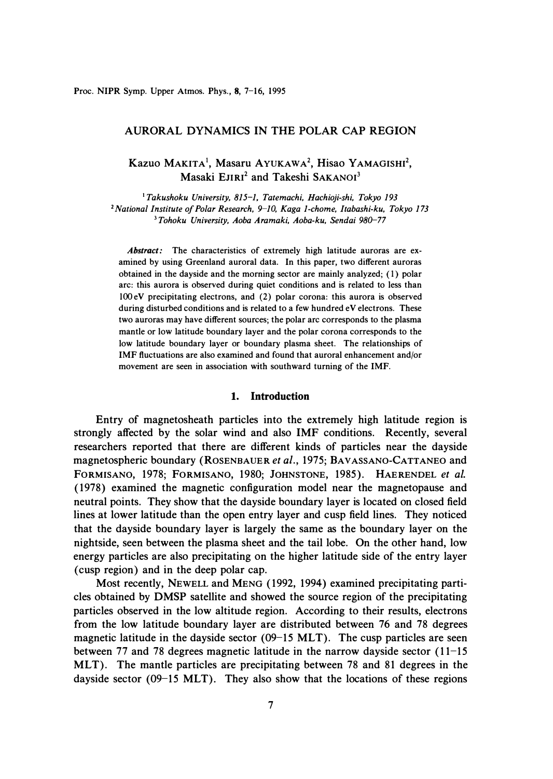## **AURORAL DYNAMICS IN THE POLAR CAP REGION**

# **Kazuo MAKITA 1, Masaru A YUKA w A <sup>2</sup> , Hisao y AMAGISHI<sup>2</sup> , Masaki EJIRI<sup>2</sup>and Takeshi SAKANOI<sup>3</sup>**

**<sup>1</sup>***Takushoku University, 815-1, Tatemachi, Hachioji-shi, Tokyo 193*  **<sup>2</sup>***National Institute of Polar Research, 9-10, Kaga 1-chome, Itabashi-ku, Tokyo 173*  **<sup>3</sup>***Tohoku University, Aoba Aramaki, Aoba-ku, Sendai 980-77* 

*Abstract:* **The characteristics of extremely high latitude auroras are examined by using Greenland auroral data. In this paper, two different auroras obtained in the dayside and the morning sector are mainly analyzed; ( 1) polar arc: this aurora is observed during quiet conditions and is related to less than lOOeV precipitating electrons, and** (2) **polar corona: this aurora is observed during disturbed conditions and is related to a few hundred eV electrons. These two auroras may have different sources; the polar arc corresponds to the plasma mantle or low latitude boundary layer and the polar corona corresponds to the low latitude boundary layer or boundary plasma sheet. The relationships of IMF fluctuations are also examined and found that auroral enhancement and/or movement are seen in association with southward turning of the IMF.** 

#### **1. Introduction**

**Entry of magnetosheath particles into the extremely high latitude region is strongly affected by the solar wind and also IMF conditions. Recently, several researchers reported that there are different kinds of particles near the dayside magnetospheric boundary (ROSENBAUER** *et al.,* 1975; **BAVASSANO-CATTANEO and FORMISANO,** 1978; **FORMISANO,** 1980; **JOHNSTONE,** 1985). **HAERENDEL** *et al.*  ( 1978) **examined the magnetic configuration model near the magnetopause and neutral points. They show that the dayside boundary layer is located on closed field lines at lower latitude than the open entry layer and cusp field lines. They noticed that the dayside boundary layer is largely the same as the boundary layer on the nightside, seen between the plasma sheet and the tail lobe. On the other hand, low energy particles are also precipitating on the higher latitude side of the entry layer ( cusp region) and in the deep polar cap.** 

**Most recently, NEWELL and MENG** (1992, 1994) **examined precipitating particles obtained by DMSP satellite and showed the source region of the precipitating particles observed in the low altitude region. According to their results, electrons from the low latitude boundary layer are distributed between** 76 **and** 78 **degrees magnetic latitude in the dayside sector** (09-15 **MLT). The cusp particles are seen between** 77 **and** 78 **degrees magnetic latitude in the narrow dayside sector (** 11-15 **MLT). The mantle particles are precipitating between** 78 **and** 81 **degrees in the dayside sector** (09-15 **MLT). They also show that the locations of these regions**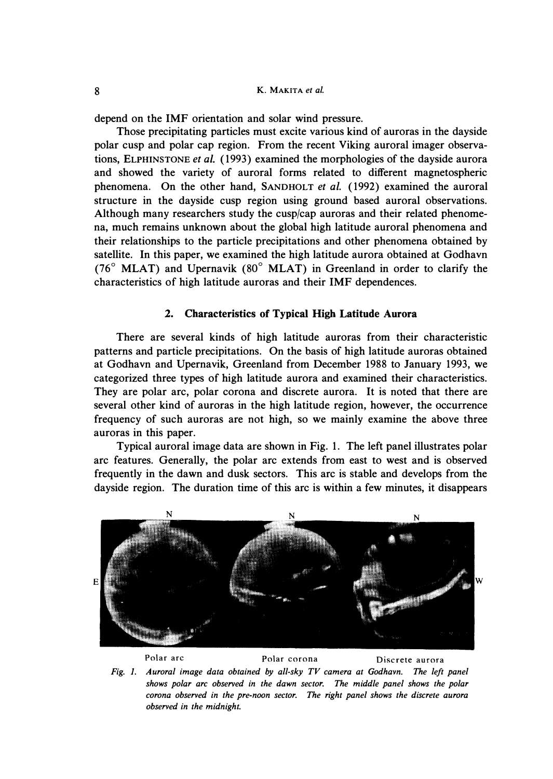**depend on the IMF orientation and solar wind pressure.** 

**Those precipitating particles must excite various kind of auroras in the dayside polar cusp and polar cap region. From the recent Viking auroral imager observations, ELPHINSTONE** *et al.* **( 1993) examined the morphologies of the dayside aurora and showed the variety of auroral forms related to different magnetospheric**  phenomena. On the other hand, SANDHOLT *et al.* (1992) examined the auroral **structure in the dayside cusp region using ground based auroral observations. Although many researchers study the cusp/cap auroras and their related phenomena, much remains unknown about the global high latitude auroral phenomena and their relationships to the particle precipitations and other phenomena obtained by satellite. In this paper, we examined the high latitude aurora obtained at Godhavn (76° MLAT) and Upernavik (80° MLAT) in Greenland in order to clarify the characteristics of high latitude auroras and their IMF dependences.** 

#### **2. Characteristics of Typical High Latitude Aurora**

**There are several kinds of high latitude auroras from their characteristic patterns and particle precipitations. On the basis of high latitude auroras obtained at Godhavn and Upernavik, Greenland from December 1988 to January 1993, we categorized three types of high latitude aurora and examined their characteristics. They are polar arc, polar corona and discrete aurora. It is noted that there are several other kind of auroras in the high latitude region, however, the occurrence frequency of such auroras are not high, so we mainly examine the above three auroras in this paper.** 

**Typical auroral image data are shown in Fig. 1. The left panel illustrates polar arc features. Generally, the polar arc extends from east to west and is observed frequently in the dawn and dusk sectors. This arc is stable and develops from the dayside region. The duration time of this arc is within a few minutes, it disappears** 



**Polar arc Polar corona Discrete aurora**  *Fig. 1. Auroral image data obtained by all-sky TV camera at Godhavn. The left panel shows polar arc observed in the dawn sector. The middle panel shows the polar corona observed in the pre-noon sector. The right panel shows the discrete aurora observed in the midnight.*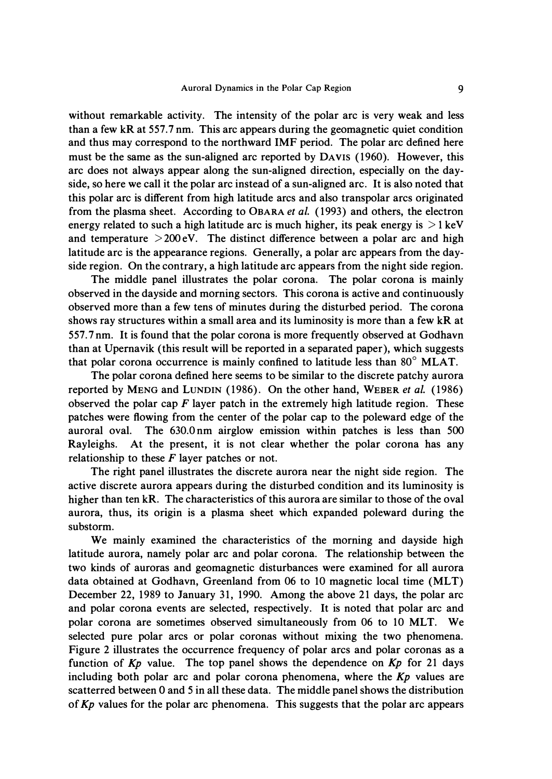**without remarkable activity. The intensity of the polar arc is very weak and less than a few kR at 557. 7 nm. This arc appears during the geomagnetic quiet condition and thus may correspond to the northward IMF period. The polar arc defined here must be the same as the sun-aligned arc reported by DAVIS (1960). However, this arc does not always appear along the sun-aligned direction, especially on the dayside, so here we call it the polar arc instead of a sun-aligned arc. It is also noted that this polar arc is different from high latitude arcs and also transpolar arcs originated from the plasma sheet. According to** *0BARA et al.* **(1993) and others, the electron**  energy related to such a high latitude arc is much higher, its peak energy is  $>1 \,\text{keV}$ **and temperature >200eV. The distinct difference between a polar arc and high latitude arc is the appearance regions. Generally, a polar arc appears from the dayside region. On the contrary, a high latitude arc appears from the night side region.** 

**The middle panel illustrates the polar corona. The polar corona is mainly observed in the dayside and morning sectors. This corona is active and continuously observed more than a few tens of minutes during the disturbed period. The corona shows ray structures within a small area and its luminosity is more than a few kR at 557. 7 nm. It is found that the polar corona is more frequently observed at Godhavn than at Upernavik (this result will be reported in a separated paper), which suggests that polar corona occurrence is mainly confined to latitude less than 80° MLAT.** 

**The polar corona defined here seems to be similar to the discrete patchy aurora reported by MENG and LUNDIN (1986). On the other hand, WEBER** *et al.* **(1986) observed the polar cap** *F* **layer patch in the extremely high latitude region. These patches were flowing from the center of the polar cap to the poleward edge of the auroral oval. The 630.0 nm airglow emission within patches is less than 500 Rayleighs. At the present, it is not clear whether the polar corona has any relationship to these** *F* **layer patches or not.** 

**The right panel illustrates the discrete aurora near the night side region. The active discrete aurora appears during the disturbed condition and its luminosity is higher than ten kR. The characteristics of this aurora are similar to those of the oval aurora, thus, its origin is a plasma sheet which expanded poleward during the substorm.** 

**We mainly examined the characteristics of the morning and dayside high latitude aurora, namely polar arc and polar corona. The relationship between the two kinds of auroras and geomagnetic disturbances were examined for all aurora**  data obtained at Godhavn, Greenland from 06 to 10 magnetic local time (MLT) **December 22, 1989 to January 31, 1990. Among the above 21 days, the polar arc and polar corona events are selected, respectively. It is noted that polar arc and polar corona are sometimes observed simultaneously from 06 to 10 MLT. We selected pure polar arcs or polar coronas without mixing the two phenomena. Figure 2 illustrates the occurrence frequency of polar arcs and polar coronas as a function of** *Kp* **value. The top panel shows the dependence on** *Kp* **for 21 days including both polar arc and polar corona phenomena, where the** *Kp* **values are scatterred between O and 5 in all these data. The middle panel shows the distribution of** *Kp* **values for the polar arc phenomena. This suggests that the polar arc appears**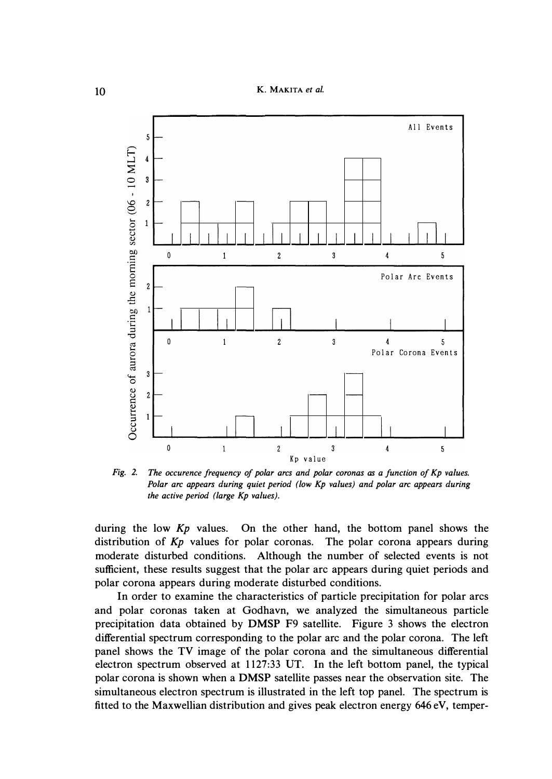**10 K. MAKITA** *et al.* 



*Fig. 2. The occurence frequency of polar arcs and polar coronas as a function of Kp values. Polar arc appears during quiet period (low Kp values) and polar arc appears during the active period (large Kp values).* 

*during the low Kp values. On the other hand, the bottom panel shows the distribution of Kp values for polar coronas. The polar corona appears during*  moderate disturbed conditions. Although the number of selected events is not *sufficient, these results suggest that the polar arc appears during quiet periods and polar corona appears during moderate disturbed conditions.* 

*In order to examine the characteristics of particle precipitation for polar arcs*  and polar coronas taken at Godhavn, we analyzed the simultaneous particle *precipitation data obtained by* **DMSP** *F9 satellite. Figure 3 shows the electron differential spectrum corresponding to the polar arc and the polar corona. The left*  panel shows the TV image of the polar corona and the simultaneous differential *electron spectrum observed at 1127:33 UT. In the left bottom panel, the typical polar corona is shown when a* **DMSP** *satellite passes near the observation site. The simultaneous electron spectrum is illustrated in the left top panel. The spectrum is fitted to the Maxwellian distribution and gives peak electron energy 646 eV, temper-*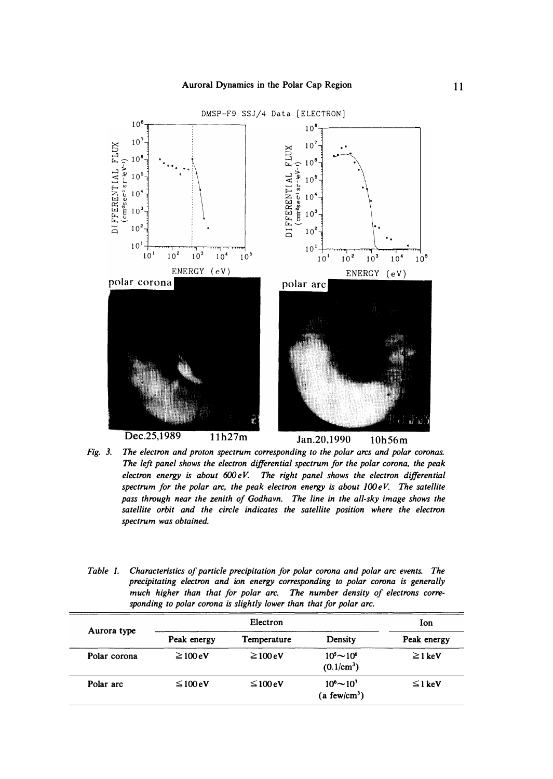

*Fig. 3. The electron and proton spectrum corresponding to the polar arcs and polar coronas. The left panel shows the electron differential spectrum for the polar corona, the peak electron energy is about* **600** *e V. The right panel shows the electron differential spectrum for the polar arc, the peak electron energy is about*  $100eV$ *. The satellite pass through near the zenith of Godhavn. The line in the all-sky image shows the satellite orbit and the circle indicates the satellite position where the electron spectrum was obtained.* 

*Table 1. Characteristics of particle precipitation for polar corona and polar arc events. The precipitating electron and ion energy corresponding to polar corona is generally*  much higher than that for polar arc. The number density of electrons corre*sponding to polar corona is slightly lower than that for polar arc.* 

| Aurora type  | Electron              |                       |                                                      | Ion          |
|--------------|-----------------------|-----------------------|------------------------------------------------------|--------------|
|              | Peak energy           | Temperature           | Density                                              | Peak energy  |
| Polar corona | $\geq 100 \text{ eV}$ | $\geq 100 \text{ eV}$ | $10^5 \sim 10^6$<br>$(0.1/cm^3)$                     | $\geq$ 1 keV |
| Polar arc    | $\leq 100 eV$         | $\leq 100 eV$         | $10^{6}$ $\sim$ $10^{7}$<br>(a few/cm <sup>3</sup> ) | $\leq$ 1 keV |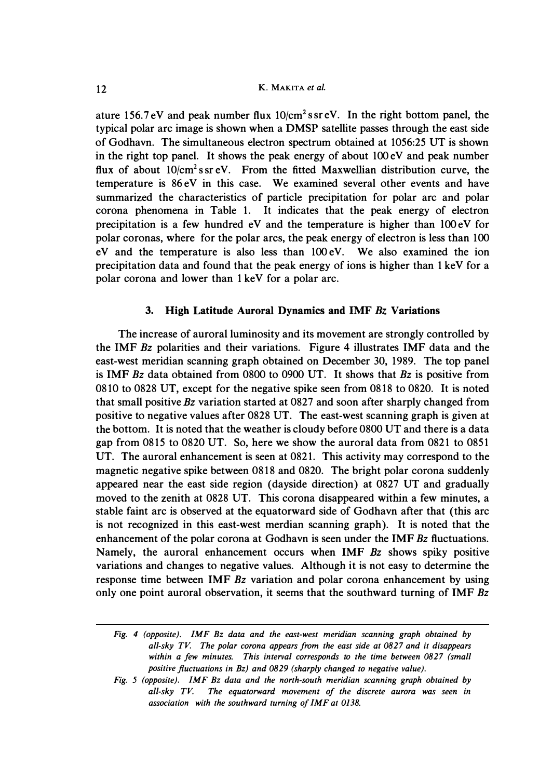**ature 156.7 eV and peak number flux 10/cm<sup>2</sup> s sr eV. In the right bottom panel, the typical polar arc image is shown when a DMSP satellite passes through the east side of Godhavn. The simultaneous electron spectrum obtained at 1056:25 UT is shown**  in the right top panel. It shows the peak energy of about 100 eV and peak number **flux of about 10/cm<sup>2</sup>s sr eV. From the fitted Maxwellian distribution curve, the temperature is 86 eV in this case. We examined several other events and have summarized the characteristics of particle precipitation for polar arc and polar corona phenomena in Table 1. It indicates that the peak energy of electron precipitation is a few hundred eV and the temperature is higher than lOOeV for polar coronas, where for the polar arcs, the peak energy of electron is less than 100 e V and the temperature is also less than 100 e V. We also examined the ion**  precipitation data and found that the peak energy of ions is higher than 1 keV for a **polar corona and lower than 1 keV for a polar arc.** 

### **3. High Latitude Auroral Dynamics and IMF Bz Variations**

**The increase of auroral luminosity and its movement are strongly controlled by the IMF** *Bz* **polarities and their variations. Figure 4 illustrates IMF data and the east-west meridian scanning graph obtained on December 30, 1989. The top panel is IMF** *Bz* **data obtained from 0800 to 0900 UT. It shows that** *Bz* **is positive from 08 10 to 0828 UT, except for the negative spike seen from 08 18 to 0820. It is noted that small positive** *Bz* **variation started at 0827 and soon after sharply changed from positive to negative values after 0828 UT. The east-west scanning graph is given at the bottom. It is noted that the weather is cloudy before 0800 UT and there is a data gap from 0815 to 0820 UT. So, here we show the auroral data from 0821 to 0851 UT. The auroral enhancement is seen at 0821. This activity may correspond to the magnetic negative spike between 0818 and 0820. The bright polar corona suddenly appeared near the east side region (dayside direction) at 0827 UT and gradually moved to the zenith at 0828 UT. This corona disappeared within a few minutes, a stable faint arc is observed at the equatorward side of Godhavn after that ( this arc is not recognized in this east-west merdian scanning graph). It is noted that the enhancement of the polar corona at Godhavn is seen under the IMF** *Bz* **fluctuations. Namely, the auroral enhancement occurs when IMF** *Bz* **shows spiky positive variations and changes to negative values. Although it is not easy to determine the response time between IMF** *Bz* **variation and polar corona enhancement by using only one point auroral observation, it seems that the southward turning of IMF** *Bz* 

*Fig. 5 (opposite). IMF Bz data and the north-south meridian scanning graph obtained by all-sky TV. The equatorward movement of the discrete aurora was seen in association with the southward turning of IMF at 0138.* 

*Fig. 4 (opposite). IMF Bz data and the east-west meridian scanning graph obtained by all-sky TV. The polar corona appears from the east side at 0827 and it disappears*  within a few minutes. This interval corresponds to the time between 0827 (small *positive fluctuations in Bz) and 0829 (sharply changed to negative value).*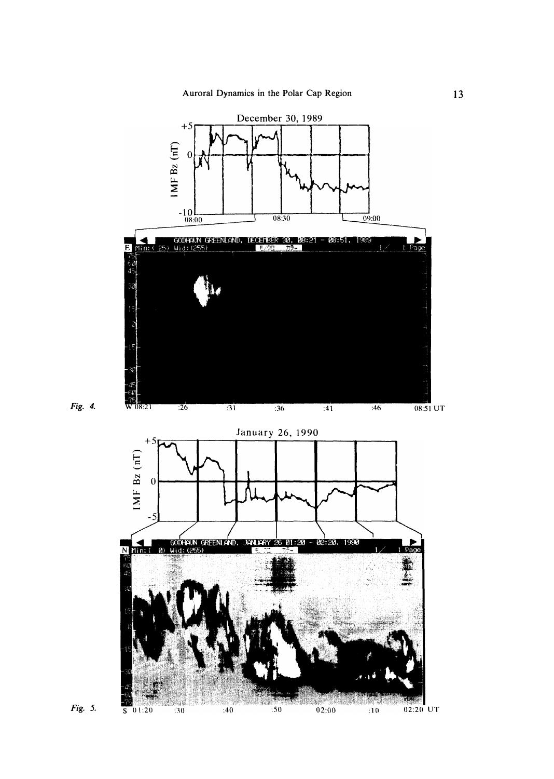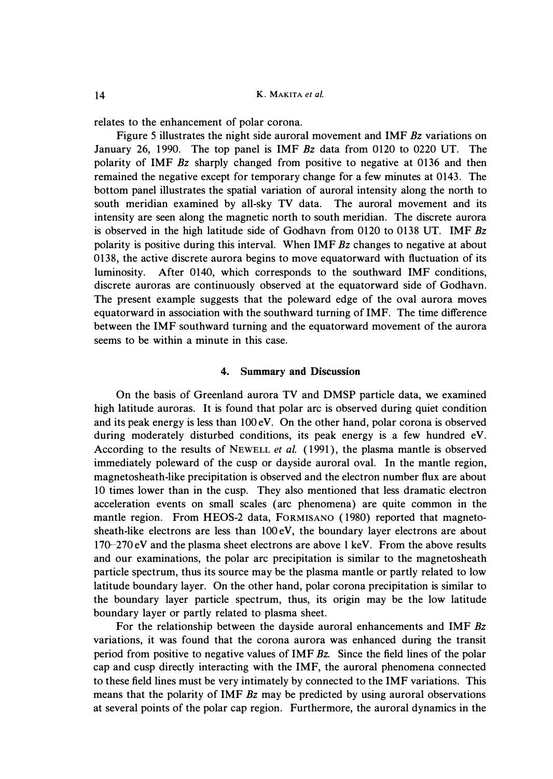*relates to the enhancement of polar corona.* 

*Figure 5 illustrates the night side auroral movement and IMF Bz variations on January 26, 1990. The top panel is IMF Bz data from 0120 to 0220 UT. The polarity of IMF Bz sharply changed from positive to negative at 0136 and then remained the negative except for temporary change for a few minutes at 0143. The bottom panel illustrates the spatial variation of auroral intensity along the north to south meridian examined by all-sky TV data. The auroral movement and its intensity are seen along the magnetic north to south meridian. The discrete aurora is observed in the high latitude side of Godhavn from 0120 to 0138 UT. IMF Bz polarity is positive during this interval. When IMF Bz changes to negative at about 0138, the active discrete aurora begins to move equatorward with fluctuation of its luminosity. After 0140, which corresponds to the southward IMF conditions, discrete auroras are continuously observed at the equatorward side of Godhavn. The present example suggests that the poleward edge of the oval aurora moves equatorward in association with the southward turning of IMF. The time difference between the IMF southward turning and the equatorward movement of the aurora seems to be within a minute in this case.* 

#### **4. Summary and Discussion**

*On the basis of Greenland aurora TV and* **DMSP** *particle data, we examined high latitude auroras. It is found that polar arc is observed during quiet condition and its peak energy is less than 100 eV. On the other hand, polar corona is observed during moderately disturbed conditions, its peak energy is a few hundred eV. According to the results of* **NEWELL** *et al. (1991), the plasma mantle is observed immediately poleward of the cusp or dayside auroral oval. In the mantle region, magnetosheath-like precipitation is observed and the electron number flux are about 10 times lower than in the cusp. They also mentioned that less dramatic electron acceleration events on small scales ( arc phenomena) are quite common in the mantle region. From HEOS-2 data, FORMISANO ( 1980) reported that magnetosheath-like electrons are less than 100 eV, the boundary layer electrons are about 170-270 eV and the plasma sheet electrons are above 1 keV. From the above results and our examinations, the polar arc precipitation is similar to the magnetosheath particle spectrum, thus its source may be the plasma mantle or partly related to low latitude boundary layer. On the other hand, polar corona precipitation is similar to the boundary layer particle spectrum, thus, its origin may be the low latitude boundary layer or partly related to plasma sheet.* 

For the relationship between the dayside auroral enhancements and IMF Bz variations, it was found that the corona aurora was enhanced during the transit *period from positive to negative values of IMF Bz. Since the field lines of the polar cap and cusp directly interacting with the IMF, the auroral phenomena connected to these field lines must be very intimately by connected to the IMF variations. This means that the polarity of IMF Bz may be predicted by using auroral observations at several points of the polar cap region. Furthermore, the auroral dynamics in the*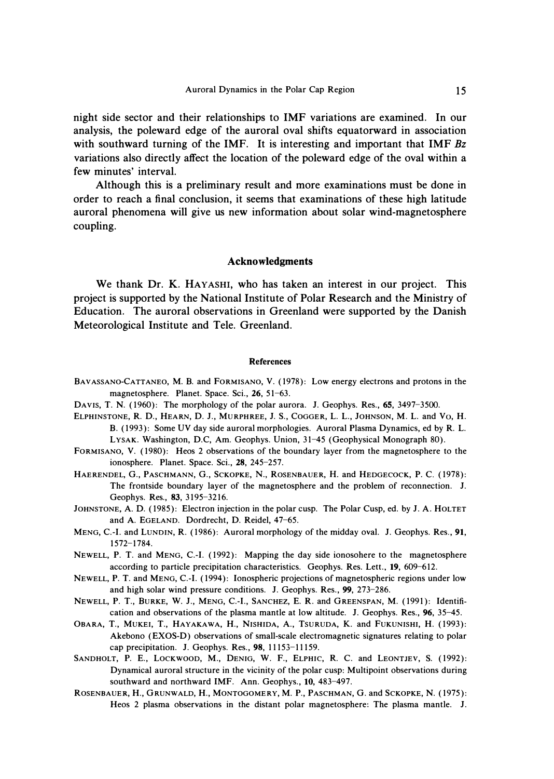**night side sector and their relationships to IMF variations are examined. In our analysis, the poleward edge of the auroral oval shifts equatorward in association with southward turning of the IMF. It is interesting and important that IMF** *Bz*  **variations also directly affect the location of the poleward edge of the oval within a few minutes' interval.** 

**Although this is a preliminary result and more examinations must be done in order to reach a final conclusion, it seems that examinations of these high latitude auroral phenomena will give us new information about solar wind-magnetosphere coupling.** 

#### **Acknowledgments**

**We thank Dr. K. HAYASHI, who has taken an interest in our project. This project is supported by the National Institute of Polar Research and the Ministry of Education. The auroral observations in Greenland were supported by the Danish Meteorological Institute and Tele. Greenland.** 

#### *References*

- **BAVASSANO-CATTANEO, M. B. and FORMISANO, V. (1978): Low energy electrons and protons in the magnetosphere. Planet. Space. Sci.,** *26,* **51-63.**
- **DAVIS, T. N. (1960): The morphology of the polar aurora. J. Geophys. Res.,** *65,* **3497-3500.**
- **ELPHINSTONE, R. D., HEARN, D. J., MURPHREE, J. S., COGGER, L. L., JOHNSON, M. L. and Vo, H. B. ( 1993): Some UV day side auroral morphologies. Auroral Plasma Dynamics, ed by R. L. LYSAK. Washington, D.C, Am. Geophys. Union, 31-45 (Geophysical Monograph 80).**
- **FORMISANO, V. ( 1980): Heos 2 observations of the boundary layer from the magnetosphere to the ionosphere. Planet. Space. Sci.,** *28,* **245-257.**
- **HAERENDEL, G., PASCHMANN, G., SCKOPKE, N., ROSENBAUER, H. and HEDGECOCK, P.** c. **(1978): The frontside boundary layer of the magnetosphere and the problem of reconnection. J. Geophys. Res.,** *83,* **3195-3216.**
- **JOHNSTONE, A. D. (1985): Electron injection in the polar cusp. The Polar Cusp, ed. by J. A. HOLTET and A. EGELAND. Dordrecht, D. Reidel, 47-65.**
- **MENG, C.-1. and LUNDIN, R. (1986): Auroral morphology of the midday oval. J. Geophys. Res.,** *91,*  **1572-1784.**
- **NEWELL, P. T. and MENG, C.-1. (1992): Mapping the day side ionosohere to the magnetosphere according to particle precipitation characteristics. Geophys. Res. Lett.,** *19,* **609-612.**
- **NEWELL, P. T. and MENG, C.-1. ( 1994): Ionospheric projections of magnetospheric regions under low and high solar wind pressure conditions. J. Geophys. Res.,** *99,* **273-286.**
- **NEWELL, P. T., BURKE,** w. **J., MENG, C.-1., SANCHEZ, E. R. and GREENSPAN, M. (1991): Identification and observations of the plasma mantle at low altitude. J. Geophys. Res.,** *96,* **35-45.**
- **OBARA, T., MUKEI, T., HAYAKAWA, H., NISHIDA, A., TSURUDA, K. and FUKUNISHI, H. (1993): Akebono (EXOS-D) observations of small-scale electromagnetic signatures relating to polar cap precipitation. J. Geophys. Res.,** *98,* **11153-11159.**
- **SANDHOLT, P. E., LOCKWOOD, M., DENIG,** w. **F., ELPHIC, R. C. and LEONTJEV,** s. **(1992): Dynamical auroral structure in the vicinity of the polar cusp: Multipoint observations during southward and northward IMF. Ann. Geophys., 10, 483-497.**
- **ROSENBAUER, H., GRUNWALD, H., MONTOGOMERY, M. P., PASCHMAN, G. and SCKOPKE, N. (1975): Heos 2 plasma observations in the distant polar magnetosphere: The plasma mantle. J.**